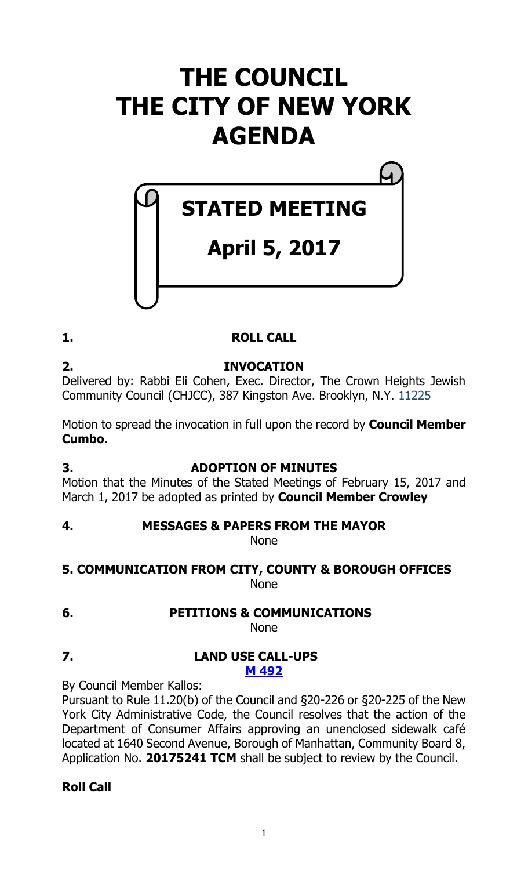## **THE COUNCIL THE CITY OF NEW YORK AGENDA**

# **April 5, 2017**

**STATED MEETING**

#### **1. ROLL CALL**

**2. INVOCATION** Delivered by: Rabbi Eli Cohen, Exec. Director, The Crown Heights Jewish Community Council (CHJCC), 387 Kingston Ave. Brooklyn, N.Y. 11225

Motion to spread the invocation in full upon the record by **Council Member Cumbo**.

#### **3. ADOPTION OF MINUTES**

Motion that the Minutes of the Stated Meetings of February 15, 2017 and March 1, 2017 be adopted as printed by **Council Member Crowley**

### **4. MESSAGES & PAPERS FROM THE MAYOR**

None

#### **5. COMMUNICATION FROM CITY, COUNTY & BOROUGH OFFICES** None

**6. PETITIONS & COMMUNICATIONS** None

#### **7. LAND USE CALL-UPS M [492](http://legistar.council.nyc.gov/LegislationDetail.aspx?ID=3013552&GUID=1E929B2E-A085-429A-9CFF-8B42CF16EC01&Options=ID|&Search=)**

By Council Member Kallos:

Pursuant to Rule 11.20(b) of the Council and §20-226 or §20-225 of the New York City Administrative Code, the Council resolves that the action of the Department of Consumer Affairs approving an unenclosed sidewalk café located at 1640 Second Avenue, Borough of Manhattan, Community Board 8, Application No. **20175241 TCM** shall be subject to review by the Council.

#### **Roll Call**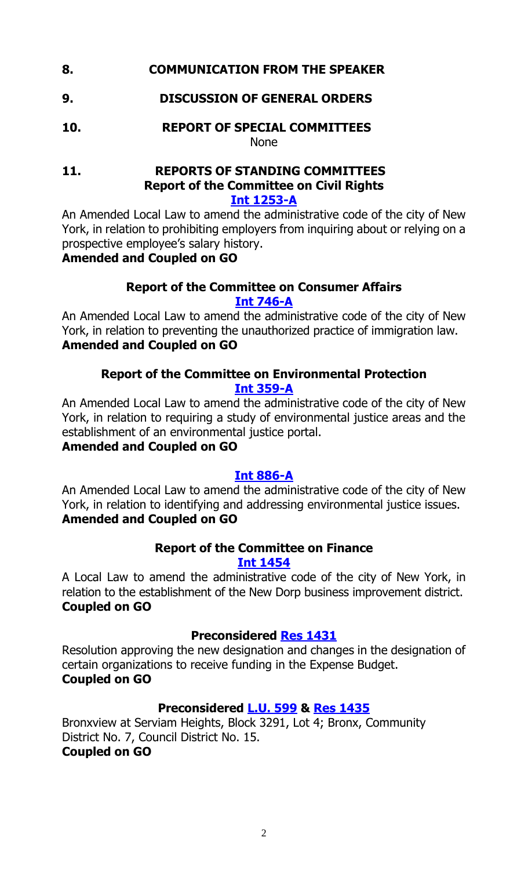#### **8. COMMUNICATION FROM THE SPEAKER**

#### **9. DISCUSSION OF GENERAL ORDERS**

**10. REPORT OF SPECIAL COMMITTEES** None

#### **11. REPORTS OF STANDING COMMITTEES Report of the Committee on Civil Rights Int [1253-A](http://legistar.council.nyc.gov/LegislationDetail.aspx?ID=2813507&GUID=938399E5-6608-42F5-9C83-9D2665D9496F&Options=Advanced&Search=)**

An Amended Local Law to amend the administrative code of the city of New York, in relation to prohibiting employers from inquiring about or relying on a prospective employee's salary history.

#### **Amended and Coupled on GO**

#### **Report of the Committee on Consumer Affairs [Int 746-A](http://legistar.council.nyc.gov/LegislationDetail.aspx?ID=2264229&GUID=DD60F933-3BA9-4068-A75A-89DD26DA9EB8&Options=Advanced&Search=)**

An Amended Local Law to amend the administrative code of the city of New York, in relation to preventing the unauthorized practice of immigration law. **Amended and Coupled on GO**

#### **Report of the Committee on Environmental Protection [Int 359-A](http://legistar.council.nyc.gov/LegislationDetail.aspx?ID=1805815&GUID=8901A89B-078E-4D47-88D8-EA3E48E715A1&Options=Advanced&Search=)**

An Amended Local Law to amend the administrative code of the city of New York, in relation to requiring a study of environmental justice areas and the establishment of an environmental justice portal.

#### **Amended and Coupled on GO**

#### **[Int 886-A](http://legistar.council.nyc.gov/LegislationDetail.aspx?ID=2460360&GUID=0C9F8C9D-5F14-4C1E-B4AD-37BB96F82BA3&Options=Advanced&Search=)**

An Amended Local Law to amend the administrative code of the city of New York, in relation to identifying and addressing environmental justice issues. **Amended and Coupled on GO**

### **Report of the Committee on Finance**

**[Int 1454](http://legistar.council.nyc.gov/LegislationDetail.aspx?ID=2949353&GUID=2E117C65-2411-441A-8111-CA82A81C4E01&Options=Advanced&Search=)**

A Local Law to amend the administrative code of the city of New York, in relation to the establishment of the New Dorp business improvement district. **Coupled on GO**

#### **Preconsidered Res [1431](http://legistar.council.nyc.gov/LegislationDetail.aspx?ID=3013434&GUID=1445E718-BCB3-46FC-A165-2726CFB94465&Options=ID|&Search=)**

Resolution approving the new designation and changes in the designation of certain organizations to receive funding in the Expense Budget. **Coupled on GO**

#### **Preconsidered [L.U.](http://legistar.council.nyc.gov/LegislationDetail.aspx?ID=3005776&GUID=5ABBF681-C928-438B-9429-90D91A8F3696&Options=ID%7c&Search=) 599 & [Res 1435](http://legistar.council.nyc.gov/LegislationDetail.aspx?ID=3013550&GUID=EB365D7A-56EB-468F-91C2-9B62EE69CDE3&Options=ID|&Search=)**

Bronxview at Serviam Heights, Block 3291, Lot 4; Bronx, Community District No. 7, Council District No. 15. **Coupled on GO**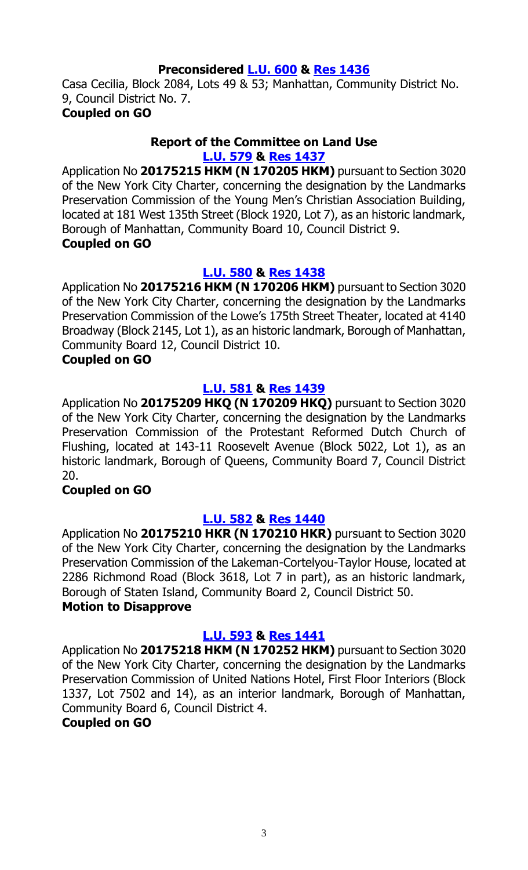#### **Preconsidered [L.U.](http://legistar.council.nyc.gov/LegislationDetail.aspx?ID=3005777&GUID=174E227F-809A-4C6C-848D-0CD62F61C46C&Options=ID|&Search=) 600 & [Res 1436](http://legistar.council.nyc.gov/LegislationDetail.aspx?ID=3013551&GUID=E8828914-747F-42A5-8CAF-5C404D4286AE&Options=ID|&Search=)**

Casa Cecilia, Block 2084, Lots 49 & 53; Manhattan, Community District No. 9, Council District No. 7.

#### **Coupled on GO**

#### **Report of the Committee on Land Use [L.U. 579](http://legistar.council.nyc.gov/LegislationDetail.aspx?ID=2961284&GUID=147821E9-6D15-4AC2-8B40-012D53781663&Options=Advanced&Search=) & Res [1437](http://legistar.council.nyc.gov/LegislationDetail.aspx?ID=3008982&GUID=43DD5344-94EE-49F8-8DFA-4B52BB285CD3&Options=ID%7c&Search=)**

Application No **20175215 HKM (N 170205 HKM)** pursuant to Section 3020 of the New York City Charter, concerning the designation by the Landmarks Preservation Commission of the Young Men's Christian Association Building, located at 181 West 135th Street (Block 1920, Lot 7), as an historic landmark, Borough of Manhattan, Community Board 10, Council District 9. **Coupled on GO**

#### **[L.U. 580](http://legistar.council.nyc.gov/LegislationDetail.aspx?ID=2961285&GUID=4DFE2257-149E-47DC-8C87-B0E5769E43EC&Options=Advanced&Search=) & Res [1438](http://legistar.council.nyc.gov/LegislationDetail.aspx?ID=3008984&GUID=C93484E2-A707-4545-83AC-EBCA71FD25CD&Options=ID|&Search=)**

Application No **20175216 HKM (N 170206 HKM)** pursuant to Section 3020 of the New York City Charter, concerning the designation by the Landmarks Preservation Commission of the Lowe's 175th Street Theater, located at 4140 Broadway (Block 2145, Lot 1), as an historic landmark, Borough of Manhattan, Community Board 12, Council District 10.

#### **Coupled on GO**

#### **[L.U. 581](http://legistar.council.nyc.gov/LegislationDetail.aspx?ID=2961286&GUID=D2E5B82C-9FFD-4858-897C-B029E3BA257A&Options=Advanced&Search=) & Res [1439](http://legistar.council.nyc.gov/LegislationDetail.aspx?ID=3008985&GUID=230F8B8F-E688-4AA0-B6AA-6EAF83BD496C&Options=ID|&Search=)**

Application No **20175209 HKQ (N 170209 HKQ)** pursuant to Section 3020 of the New York City Charter, concerning the designation by the Landmarks Preservation Commission of the Protestant Reformed Dutch Church of Flushing, located at 143-11 Roosevelt Avenue (Block 5022, Lot 1), as an historic landmark, Borough of Queens, Community Board 7, Council District 20.

#### **Coupled on GO**

#### **[L.U. 582](http://legistar.council.nyc.gov/LegislationDetail.aspx?ID=2961287&GUID=83548C67-BDA4-4517-8F27-A2655477C0BB&Options=Advanced&Search=) & Res [1440](http://legistar.council.nyc.gov/LegislationDetail.aspx?ID=3008986&GUID=B102DE2A-4BC0-4B21-BB4C-BB04D1936F70&Options=ID|&Search=)**

Application No **20175210 HKR (N 170210 HKR)** pursuant to Section 3020 of the New York City Charter, concerning the designation by the Landmarks Preservation Commission of the Lakeman-Cortelyou-Taylor House, located at 2286 Richmond Road (Block 3618, Lot 7 in part), as an historic landmark, Borough of Staten Island, Community Board 2, Council District 50. **Motion to Disapprove**

#### **[L.U. 593](http://legistar.council.nyc.gov/LegislationDetail.aspx?ID=2984676&GUID=5F1F076A-D974-40B9-82F2-DABE5A0BD7E0&Options=Advanced&Search=) & Res [1441](http://legistar.council.nyc.gov/LegislationDetail.aspx?ID=3008987&GUID=5A1456FF-7ACB-4768-955B-AF1636F145EB&Options=ID|&Search=)**

Application No **20175218 HKM (N 170252 HKM)** pursuant to Section 3020 of the New York City Charter, concerning the designation by the Landmarks Preservation Commission of United Nations Hotel, First Floor Interiors (Block 1337, Lot 7502 and 14), as an interior landmark, Borough of Manhattan, Community Board 6, Council District 4.

#### **Coupled on GO**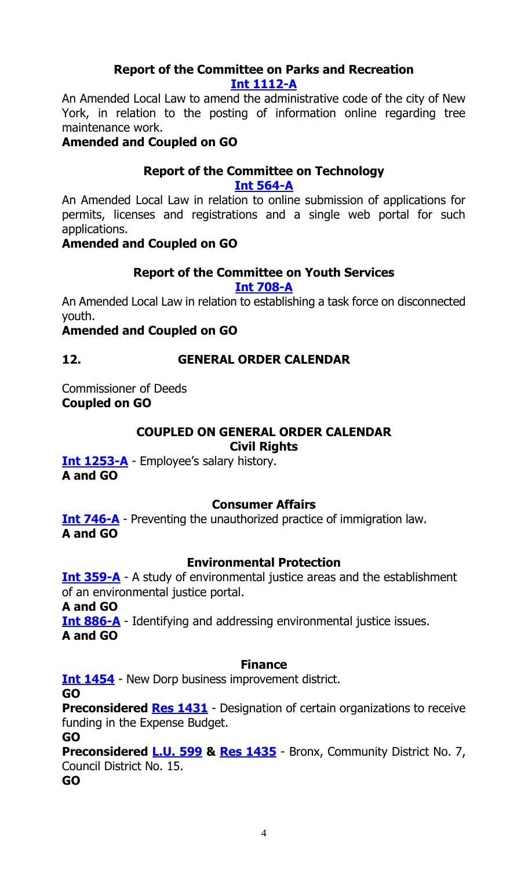#### **Report of the Committee on Parks and Recreation [Int 1112-A](http://legistar.council.nyc.gov/LegislationDetail.aspx?ID=2598202&GUID=8CAF108A-FD84-4EBE-A5FB-775C6D378D93&Options=Advanced&Search=)**

An Amended Local Law to amend the administrative code of the city of New York, in relation to the posting of information online regarding tree maintenance work.

#### **Amended and Coupled on GO**

#### **Report of the Committee on Technology**

**[Int 564-A](http://legistar.council.nyc.gov/LegislationDetail.aspx?ID=2073908&GUID=B1913CB2-0D62-4230-AEDB-DACFAC04F7EB&Options=Advanced&Search=)**

An Amended Local Law in relation to online submission of applications for permits, licenses and registrations and a single web portal for such applications.

#### **Amended and Coupled on GO**

#### **Report of the Committee on Youth Services**

**Int [708-A](http://legistar.council.nyc.gov/LegislationDetail.aspx?ID=2240477&GUID=8C004DC0-1AC4-4F24-9D2B-D80FD7DB54EA&Options=Advanced&Search=)**

An Amended Local Law in relation to establishing a task force on disconnected youth.

#### **Amended and Coupled on GO**

#### **12. GENERAL ORDER CALENDAR**

Commissioner of Deeds **Coupled on GO**

#### **COUPLED ON GENERAL ORDER CALENDAR Civil Rights**

**[Int 1253-A](http://legistar.council.nyc.gov/LegislationDetail.aspx?ID=2813507&GUID=938399E5-6608-42F5-9C83-9D2665D9496F&Options=Advanced&Search=)** - Employee's salary history. **A and GO**

#### **Consumer Affairs**

**[Int 746-A](http://legistar.council.nyc.gov/LegislationDetail.aspx?ID=2264229&GUID=DD60F933-3BA9-4068-A75A-89DD26DA9EB8&Options=Advanced&Search=)** - Preventing the unauthorized practice of immigration law. **A and GO**

#### **Environmental Protection**

**[Int 359-A](http://legistar.council.nyc.gov/LegislationDetail.aspx?ID=1805815&GUID=8901A89B-078E-4D47-88D8-EA3E48E715A1&Options=Advanced&Search=)** - A study of environmental justice areas and the establishment of an environmental justice portal.

**A and GO**

**<u>[Int 886-A](http://legistar.council.nyc.gov/LegislationDetail.aspx?ID=2460360&GUID=0C9F8C9D-5F14-4C1E-B4AD-37BB96F82BA3&Options=Advanced&Search=)</u>** - Identifying and addressing environmental justice issues. **A and GO**

#### **Finance**

**[Int 1454](http://legistar.council.nyc.gov/LegislationDetail.aspx?ID=2949353&GUID=2E117C65-2411-441A-8111-CA82A81C4E01&Options=Advanced&Search=)** - New Dorp business improvement district.

**GO**

**Preconsidered Res [1431](http://legistar.council.nyc.gov/LegislationDetail.aspx?ID=3013434&GUID=1445E718-BCB3-46FC-A165-2726CFB94465&Options=ID|&Search=)** - Designation of certain organizations to receive funding in the Expense Budget.

**GO**

**Preconsidered [L.U.](http://legistar.council.nyc.gov/LegislationDetail.aspx?ID=3005776&GUID=5ABBF681-C928-438B-9429-90D91A8F3696&Options=ID%7c&Search=) 599 & [Res 1435](http://legistar.council.nyc.gov/LegislationDetail.aspx?ID=3013550&GUID=EB365D7A-56EB-468F-91C2-9B62EE69CDE3&Options=ID|&Search=)** - Bronx, Community District No. 7, Council District No. 15.

**GO**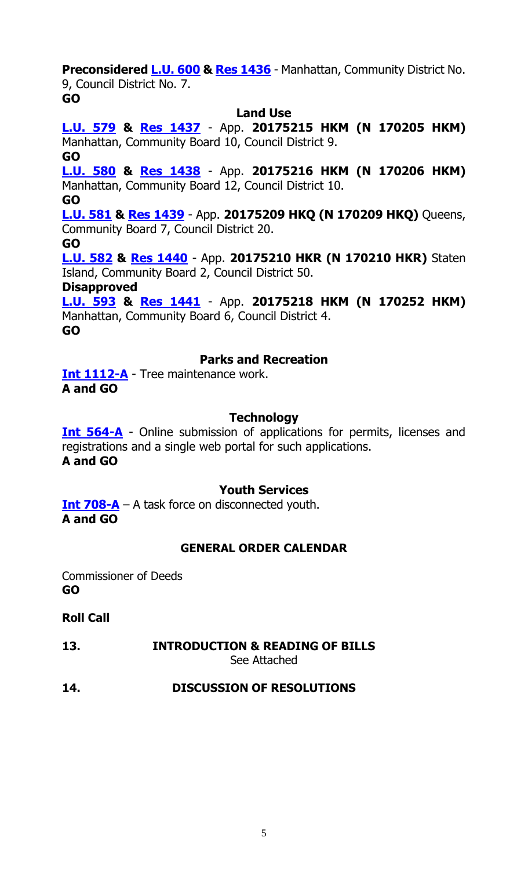**Preconsidered [L.U.](http://legistar.council.nyc.gov/LegislationDetail.aspx?ID=3005777&GUID=174E227F-809A-4C6C-848D-0CD62F61C46C&Options=ID|&Search=) 600 & [Res 1436](http://legistar.council.nyc.gov/LegislationDetail.aspx?ID=3013551&GUID=E8828914-747F-42A5-8CAF-5C404D4286AE&Options=ID|&Search=)** - Manhattan, Community District No. 9, Council District No. 7.

**GO**

#### **Land Use**

**[L.U. 579](http://legistar.council.nyc.gov/LegislationDetail.aspx?ID=2961284&GUID=147821E9-6D15-4AC2-8B40-012D53781663&Options=Advanced&Search=) & Res [1437](http://legistar.council.nyc.gov/LegislationDetail.aspx?ID=3008982&GUID=43DD5344-94EE-49F8-8DFA-4B52BB285CD3&Options=ID%7c&Search=)** - App. **20175215 HKM (N 170205 HKM)** Manhattan, Community Board 10, Council District 9. **GO**

**[L.U. 580](http://legistar.council.nyc.gov/LegislationDetail.aspx?ID=2961285&GUID=4DFE2257-149E-47DC-8C87-B0E5769E43EC&Options=Advanced&Search=) & Res [1438](http://legistar.council.nyc.gov/LegislationDetail.aspx?ID=3008984&GUID=C93484E2-A707-4545-83AC-EBCA71FD25CD&Options=ID|&Search=)** - App. **20175216 HKM (N 170206 HKM)** Manhattan, Community Board 12, Council District 10.

**GO**

**[L.U.](http://legistar.council.nyc.gov/LegislationDetail.aspx?ID=2961286&GUID=D2E5B82C-9FFD-4858-897C-B029E3BA257A&Options=Advanced&Search=) 581 & Res [1439](http://legistar.council.nyc.gov/LegislationDetail.aspx?ID=3008985&GUID=230F8B8F-E688-4AA0-B6AA-6EAF83BD496C&Options=ID|&Search=)** - App. **20175209 HKQ (N 170209 HKQ)** Queens, Community Board 7, Council District 20.

**GO**

**[L.U. 582](http://legistar.council.nyc.gov/LegislationDetail.aspx?ID=2961287&GUID=83548C67-BDA4-4517-8F27-A2655477C0BB&Options=Advanced&Search=) & Res [1440](http://legistar.council.nyc.gov/LegislationDetail.aspx?ID=3008986&GUID=B102DE2A-4BC0-4B21-BB4C-BB04D1936F70&Options=ID|&Search=)** - App. **20175210 HKR (N 170210 HKR)** Staten Island, Community Board 2, Council District 50.

**Disapproved**

**[L.U. 593](http://legistar.council.nyc.gov/LegislationDetail.aspx?ID=2984676&GUID=5F1F076A-D974-40B9-82F2-DABE5A0BD7E0&Options=Advanced&Search=) & Res [1441](http://legistar.council.nyc.gov/LegislationDetail.aspx?ID=3008987&GUID=5A1456FF-7ACB-4768-955B-AF1636F145EB&Options=ID|&Search=)** - App. **20175218 HKM (N 170252 HKM)** Manhattan, Community Board 6, Council District 4. **GO**

#### **Parks and Recreation**

**[Int 1112-A](http://legistar.council.nyc.gov/LegislationDetail.aspx?ID=2598202&GUID=8CAF108A-FD84-4EBE-A5FB-775C6D378D93&Options=Advanced&Search=)** - Tree maintenance work. **A and GO**

#### **Technology**

**[Int 564-A](http://legistar.council.nyc.gov/LegislationDetail.aspx?ID=2073908&GUID=B1913CB2-0D62-4230-AEDB-DACFAC04F7EB&Options=Advanced&Search=)** - Online submission of applications for permits, licenses and registrations and a single web portal for such applications. **A and GO**

#### **Youth Services**

**[Int 708-A](http://legistar.council.nyc.gov/LegislationDetail.aspx?ID=2240477&GUID=8C004DC0-1AC4-4F24-9D2B-D80FD7DB54EA&Options=Advanced&Search=)** – A task force on disconnected youth. **A and GO**

#### **GENERAL ORDER CALENDAR**

Commissioner of Deeds **GO**

#### **Roll Call**

### **13. INTRODUCTION & READING OF BILLS**

See Attached

#### **14. DISCUSSION OF RESOLUTIONS**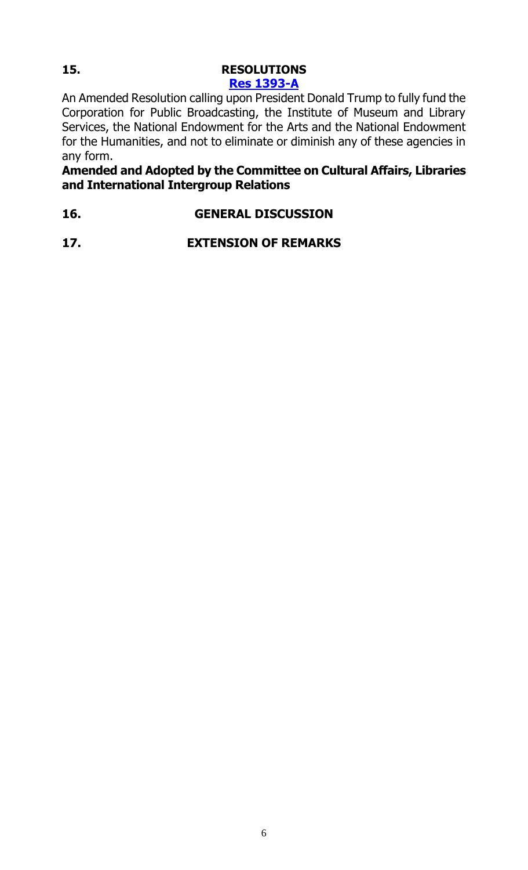### **15. RESOLUTIONS [Res 1393-A](http://legistar.council.nyc.gov/LegislationDetail.aspx?ID=2972263&GUID=DBC13881-9E97-40B2-86F9-EB07C496A3E0&Options=Advanced&Search=)**

An Amended Resolution calling upon President Donald Trump to fully fund the Corporation for Public Broadcasting, the Institute of Museum and Library Services, the National Endowment for the Arts and the National Endowment for the Humanities, and not to eliminate or diminish any of these agencies in any form.

**Amended and Adopted by the Committee on Cultural Affairs, Libraries and International Intergroup Relations**

**16. GENERAL DISCUSSION**

**17. EXTENSION OF REMARKS**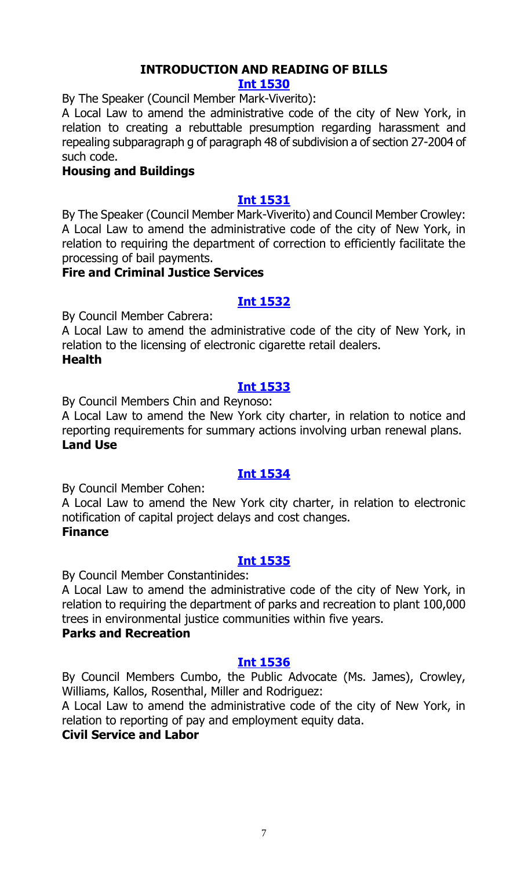### **INTRODUCTION AND READING OF BILLS**

#### **[Int 1530](http://legistar.council.nyc.gov/LegislationDetail.aspx?ID=3011124&GUID=53EA86FC-43CF-4C77-9D8B-539F1F9DB1A2&Options=ID%7c&Search=)**

By The Speaker (Council Member Mark-Viverito):

A Local Law to amend the administrative code of the city of New York, in relation to creating a rebuttable presumption regarding harassment and repealing subparagraph g of paragraph 48 of subdivision a of section 27-2004 of such code.

#### **Housing and Buildings**

#### **[Int 1531](http://legistar.council.nyc.gov/LegislationDetail.aspx?ID=2991007&GUID=FF218555-5363-4980-A47A-3350F91C43C5&Options=ID|&Search=)**

By The Speaker (Council Member Mark-Viverito) and Council Member Crowley: A Local Law to amend the administrative code of the city of New York, in relation to requiring the department of correction to efficiently facilitate the processing of bail payments.

#### **Fire and Criminal Justice Services**

#### **[Int 1532](http://legistar.council.nyc.gov/LegislationDetail.aspx?ID=3013582&GUID=99959443-C03A-4E27-B8ED-A7382EAF8551&Options=ID|&Search=)**

By Council Member Cabrera:

A Local Law to amend the administrative code of the city of New York, in relation to the licensing of electronic cigarette retail dealers. **Health**

#### **[Int 1533](http://legistar.council.nyc.gov/LegislationDetail.aspx?ID=3013575&GUID=8EC960FE-04B8-4E56-A978-E1FF212AAFB8&Options=ID|&Search=)**

By Council Members Chin and Reynoso:

A Local Law to amend the New York city charter, in relation to notice and reporting requirements for summary actions involving urban renewal plans. **Land Use**

#### **[Int 1534](http://legistar.council.nyc.gov/LegislationDetail.aspx?ID=3013581&GUID=927553DF-0CAA-4C07-9CBE-61CE0A8837F2&Options=ID|&Search=)**

By Council Member Cohen:

A Local Law to amend the New York city charter, in relation to electronic notification of capital project delays and cost changes. **Finance**

#### **[Int 1535](http://legistar.council.nyc.gov/LegislationDetail.aspx?ID=3013579&GUID=921A2781-2869-40E6-9A31-EE529C742BFE&Options=ID|&Search=)**

By Council Member Constantinides:

A Local Law to amend the administrative code of the city of New York, in relation to requiring the department of parks and recreation to plant 100,000 trees in environmental justice communities within five years.

#### **Parks and Recreation**

#### **[Int 1536](http://legistar.council.nyc.gov/LegislationDetail.aspx?ID=3013566&GUID=A69F0958-929B-4CD3-B7B9-60692B7337E8&Options=ID|&Search=)**

By Council Members Cumbo, the Public Advocate (Ms. James), Crowley, Williams, Kallos, Rosenthal, Miller and Rodriguez:

A Local Law to amend the administrative code of the city of New York, in relation to reporting of pay and employment equity data.

#### **Civil Service and Labor**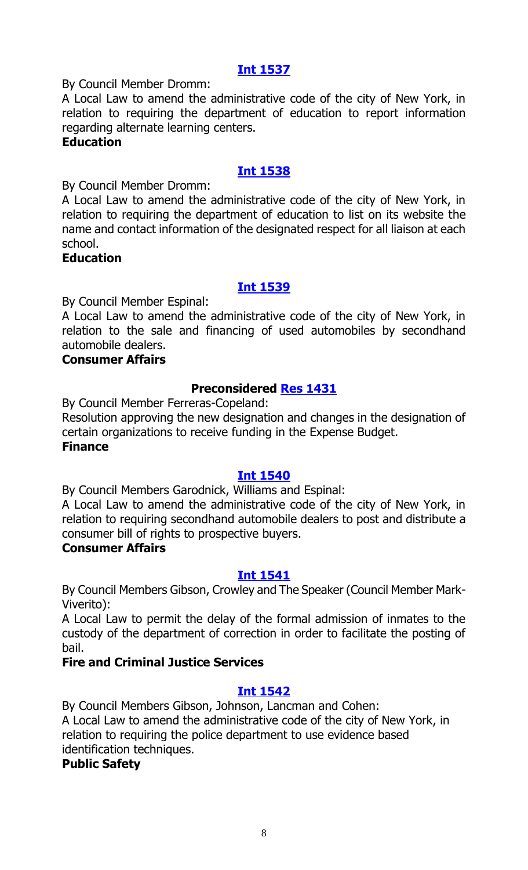By Council Member Dromm:

A Local Law to amend the administrative code of the city of New York, in relation to requiring the department of education to report information regarding alternate learning centers.

#### **Education**

#### **[Int 1538](http://legistar.council.nyc.gov/LegislationDetail.aspx?ID=3013578&GUID=1B11C6FE-419F-4AA8-9C9E-8F60B671C4AA&Options=ID|&Search=)**

By Council Member Dromm:

A Local Law to amend the administrative code of the city of New York, in relation to requiring the department of education to list on its website the name and contact information of the designated respect for all liaison at each school.

#### **Education**

#### **[Int 1539](http://legistar.council.nyc.gov/LegislationDetail.aspx?ID=3008983&GUID=C3212579-670A-4B52-975B-B572DDD65D20&Options=ID|&Search=)**

By Council Member Espinal:

A Local Law to amend the administrative code of the city of New York, in relation to the sale and financing of used automobiles by secondhand automobile dealers.

#### **Consumer Affairs**

#### **Preconsidered [Res 1431](http://legistar.council.nyc.gov/LegislationDetail.aspx?ID=3013434&GUID=1445E718-BCB3-46FC-A165-2726CFB94465&Options=ID%7c&Search=)**

By Council Member Ferreras-Copeland:

Resolution approving the new designation and changes in the designation of certain organizations to receive funding in the Expense Budget. **Finance**

#### **[Int 1540](http://legistar.council.nyc.gov/LegislationDetail.aspx?ID=3008990&GUID=2C47856B-FAF1-468E-A45A-CA79FC432631&Options=ID|&Search=)**

By Council Members Garodnick, Williams and Espinal:

A Local Law to amend the administrative code of the city of New York, in relation to requiring secondhand automobile dealers to post and distribute a consumer bill of rights to prospective buyers.

#### **Consumer Affairs**

#### **[Int 1541](http://legistar.council.nyc.gov/LegislationDetail.aspx?ID=2991020&GUID=AE347DDA-968F-4BF8-B85E-22F1E36FB294&Options=ID|&Search=)**

By Council Members Gibson, Crowley and The Speaker (Council Member Mark-Viverito):

A Local Law to permit the delay of the formal admission of inmates to the custody of the department of correction in order to facilitate the posting of bail.

#### **Fire and Criminal Justice Services**

#### **[Int 1542](http://legistar.council.nyc.gov/LegislationDetail.aspx?ID=3013574&GUID=AA670E96-8B54-41F8-A06F-7CCEF16E7272&Options=ID|&Search=)**

By Council Members Gibson, Johnson, Lancman and Cohen: A Local Law to amend the administrative code of the city of New York, in relation to requiring the police department to use evidence based identification techniques.

#### **Public Safety**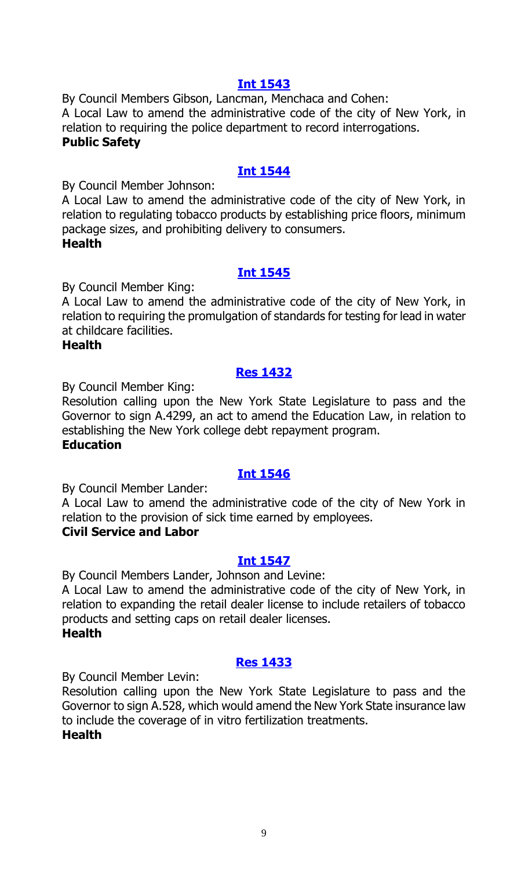By Council Members Gibson, Lancman, Menchaca and Cohen:

A Local Law to amend the administrative code of the city of New York, in relation to requiring the police department to record interrogations.

#### **Public Safety**

#### **[Int 1544](http://legistar.council.nyc.gov/LegislationDetail.aspx?ID=3013584&GUID=2CF281E1-5407-4AB5-8340-E16098EF7F85&Options=ID|&Search=)**

By Council Member Johnson:

A Local Law to amend the administrative code of the city of New York, in relation to regulating tobacco products by establishing price floors, minimum package sizes, and prohibiting delivery to consumers. **Health**

#### **[Int 1545](http://legistar.council.nyc.gov/LegislationDetail.aspx?ID=3013583&GUID=B308E4C8-4470-4754-B9FC-2EF92E7206CD&Options=ID|&Search=)**

By Council Member King:

A Local Law to amend the administrative code of the city of New York, in relation to requiring the promulgation of standards for testing for lead in water at childcare facilities.

#### **Health**

#### **[Res 1432](http://legistar.council.nyc.gov/LegislationDetail.aspx?ID=3013580&GUID=BF04524B-EED9-411C-966A-9C3CE55EE4AE&Options=ID|&Search=)**

By Council Member King:

Resolution calling upon the New York State Legislature to pass and the Governor to sign A.4299, an act to amend the Education Law, in relation to establishing the New York college debt repayment program.

#### **Education**

#### **[Int 1546](http://legistar.council.nyc.gov/LegislationDetail.aspx?ID=3013567&GUID=B67E7E4E-3675-44FB-BFF0-E30438CAE8AC&Options=ID|&Search=)**

By Council Member Lander:

A Local Law to amend the administrative code of the city of New York in relation to the provision of sick time earned by employees.

#### **Civil Service and Labor**

#### **[Int 1547](http://legistar.council.nyc.gov/LegislationDetail.aspx?ID=3013585&GUID=03576064-7911-4E42-B06D-2741F2336E1A&Options=ID|&Search=)**

By Council Members Lander, Johnson and Levine:

A Local Law to amend the administrative code of the city of New York, in relation to expanding the retail dealer license to include retailers of tobacco products and setting caps on retail dealer licenses. **Health**

#### **[Res 1433](http://legistar.council.nyc.gov/LegislationDetail.aspx?ID=3013572&GUID=DA9DC1D9-16E1-48BD-8B36-F3EDBACE3268&Options=ID|&Search=)**

By Council Member Levin:

Resolution calling upon the New York State Legislature to pass and the Governor to sign A.528, which would amend the New York State insurance law to include the coverage of in vitro fertilization treatments.

#### **Health**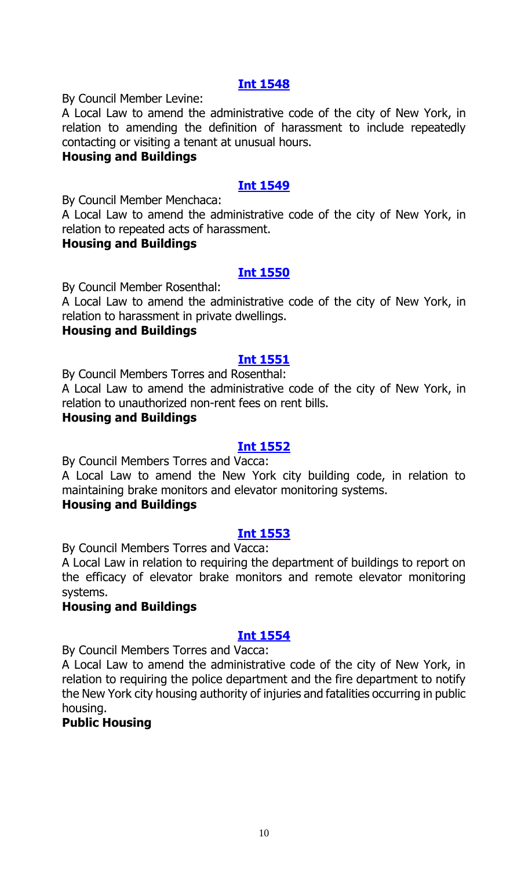By Council Member Levine:

A Local Law to amend the administrative code of the city of New York, in relation to amending the definition of harassment to include repeatedly contacting or visiting a tenant at unusual hours.

#### **Housing and Buildings**

#### **[Int 1549](http://legistar.council.nyc.gov/LegislationDetail.aspx?ID=3011130&GUID=5A069624-4EC1-4187-8212-B0D10096A127&Options=ID|&Search=)**

By Council Member Menchaca:

A Local Law to amend the administrative code of the city of New York, in relation to repeated acts of harassment.

#### **Housing and Buildings**

#### **[Int 1550](http://legistar.council.nyc.gov/LegislationDetail.aspx?ID=3011132&GUID=D76791B0-7913-4B00-9ADC-BA9A210D8168&Options=ID|&Search=)**

By Council Member Rosenthal:

A Local Law to amend the administrative code of the city of New York, in relation to harassment in private dwellings.

#### **Housing and Buildings**

#### **[Int 1551](http://legistar.council.nyc.gov/LegislationDetail.aspx?ID=3011134&GUID=20E9C00B-EC49-4D85-871A-697EB991BE6B&Options=ID|&Search=)**

By Council Members Torres and Rosenthal:

A Local Law to amend the administrative code of the city of New York, in relation to unauthorized non-rent fees on rent bills.

#### **Housing and Buildings**

#### **[Int 1552](http://legistar.council.nyc.gov/LegislationDetail.aspx?ID=3013569&GUID=9AD481E7-B29C-433D-BAF8-7D334A489F86&Options=ID|&Search=)**

By Council Members Torres and Vacca:

A Local Law to amend the New York city building code, in relation to maintaining brake monitors and elevator monitoring systems.

#### **Housing and Buildings**

#### **[Int 1553](http://legistar.council.nyc.gov/LegislationDetail.aspx?ID=3013568&GUID=1079E545-E2DD-4B38-A1D4-0E0B17E2AFBE&Options=ID|&Search=)**

By Council Members Torres and Vacca:

A Local Law in relation to requiring the department of buildings to report on the efficacy of elevator brake monitors and remote elevator monitoring systems.

#### **Housing and Buildings**

#### **[Int 1554](http://legistar.council.nyc.gov/LegislationDetail.aspx?ID=3013570&GUID=FD1D54FC-DC94-4C64-BA0D-D29CCAA88D92&Options=ID|&Search=)**

By Council Members Torres and Vacca:

A Local Law to amend the administrative code of the city of New York, in relation to requiring the police department and the fire department to notify the New York city housing authority of injuries and fatalities occurring in public housing.

#### **Public Housing**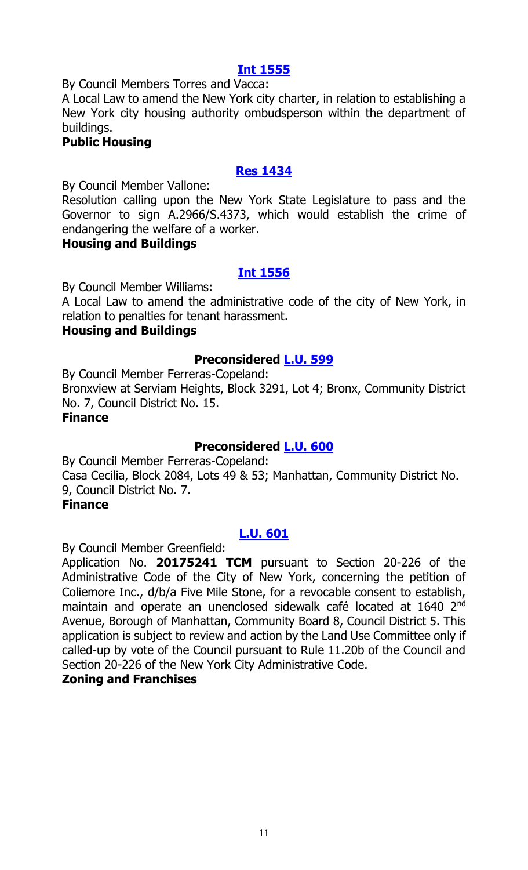By Council Members Torres and Vacca:

A Local Law to amend the New York city charter, in relation to establishing a New York city housing authority ombudsperson within the department of buildings.

#### **Public Housing**

#### **[Res 1434](http://legistar.council.nyc.gov/LegislationDetail.aspx?ID=3013576&GUID=D9669AB4-55CD-4C6A-A79D-35FBB0DF91E9&Options=ID|&Search=)**

By Council Member Vallone:

Resolution calling upon the New York State Legislature to pass and the Governor to sign A.2966/S.4373, which would establish the crime of endangering the welfare of a worker.

#### **Housing and Buildings**

#### **[Int 1556](http://legistar.council.nyc.gov/LegislationDetail.aspx?ID=3011140&GUID=416CFE6D-EBE9-4385-8BC7-CFC94972A503&Options=ID|&Search=)**

By Council Member Williams:

A Local Law to amend the administrative code of the city of New York, in relation to penalties for tenant harassment.

#### **Housing and Buildings**

#### **Preconsidered [L.U. 599](http://legistar.council.nyc.gov/LegislationDetail.aspx?ID=3005776&GUID=5ABBF681-C928-438B-9429-90D91A8F3696&Options=ID%7c&Search=)**

By Council Member Ferreras-Copeland: Bronxview at Serviam Heights, Block 3291, Lot 4; Bronx, Community District No. 7, Council District No. 15. **Finance**

#### **Preconsidered [L.U. 600](http://legistar.council.nyc.gov/LegislationDetail.aspx?ID=3005777&GUID=174E227F-809A-4C6C-848D-0CD62F61C46C&Options=ID|&Search=)**

By Council Member Ferreras-Copeland: Casa Cecilia, Block 2084, Lots 49 & 53; Manhattan, Community District No. 9, Council District No. 7.

#### **Finance**

#### **[L.U. 601](http://legistar.council.nyc.gov/LegislationDetail.aspx?ID=3013586&GUID=D1A6A5D4-A5B1-4FDE-AB05-38470BEC9849&Options=ID|&Search=)**

By Council Member Greenfield:

Application No. **20175241 TCM** pursuant to Section 20-226 of the Administrative Code of the City of New York, concerning the petition of Coliemore Inc., d/b/a Five Mile Stone, for a revocable consent to establish, maintain and operate an unenclosed sidewalk café located at 1640 2<sup>nd</sup> Avenue, Borough of Manhattan, Community Board 8, Council District 5. This application is subject to review and action by the Land Use Committee only if called-up by vote of the Council pursuant to Rule 11.20b of the Council and Section 20-226 of the New York City Administrative Code.

#### **Zoning and Franchises**